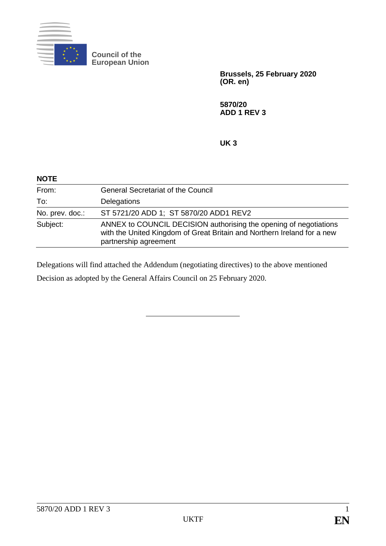

**Council of the European Union**

> **Brussels, 25 February 2020 (OR. en)**

**5870/20 ADD 1 REV 3**

**UK 3**

| <b>NOTE</b>     |                                                                                                                                                                       |
|-----------------|-----------------------------------------------------------------------------------------------------------------------------------------------------------------------|
| From:           | <b>General Secretariat of the Council</b>                                                                                                                             |
| To:             | Delegations                                                                                                                                                           |
| No. prev. doc.: | ST 5721/20 ADD 1; ST 5870/20 ADD1 REV2                                                                                                                                |
| Subject:        | ANNEX to COUNCIL DECISION authorising the opening of negotiations<br>with the United Kingdom of Great Britain and Northern Ireland for a new<br>partnership agreement |

Delegations will find attached the Addendum (negotiating directives) to the above mentioned Decision as adopted by the General Affairs Council on 25 February 2020.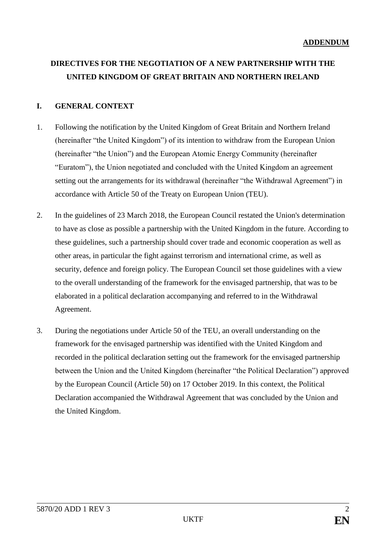# **DIRECTIVES FOR THE NEGOTIATION OF A NEW PARTNERSHIP WITH THE UNITED KINGDOM OF GREAT BRITAIN AND NORTHERN IRELAND**

# **I. GENERAL CONTEXT**

- 1. Following the notification by the United Kingdom of Great Britain and Northern Ireland (hereinafter "the United Kingdom") of its intention to withdraw from the European Union (hereinafter "the Union") and the European Atomic Energy Community (hereinafter "Euratom"), the Union negotiated and concluded with the United Kingdom an agreement setting out the arrangements for its withdrawal (hereinafter "the Withdrawal Agreement") in accordance with Article 50 of the Treaty on European Union (TEU).
- 2. In the guidelines of 23 March 2018, the European Council restated the Union's determination to have as close as possible a partnership with the United Kingdom in the future. According to these guidelines, such a partnership should cover trade and economic cooperation as well as other areas, in particular the fight against terrorism and international crime, as well as security, defence and foreign policy. The European Council set those guidelines with a view to the overall understanding of the framework for the envisaged partnership, that was to be elaborated in a political declaration accompanying and referred to in the Withdrawal Agreement.
- 3. During the negotiations under Article 50 of the TEU, an overall understanding on the framework for the envisaged partnership was identified with the United Kingdom and recorded in the political declaration setting out the framework for the envisaged partnership between the Union and the United Kingdom (hereinafter "the Political Declaration") approved by the European Council (Article 50) on 17 October 2019. In this context, the Political Declaration accompanied the Withdrawal Agreement that was concluded by the Union and the United Kingdom.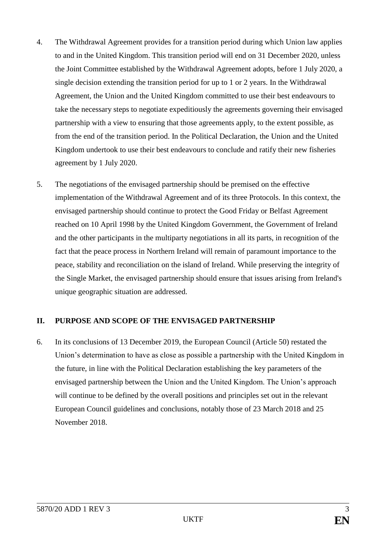- 4. The Withdrawal Agreement provides for a transition period during which Union law applies to and in the United Kingdom. This transition period will end on 31 December 2020, unless the Joint Committee established by the Withdrawal Agreement adopts, before 1 July 2020, a single decision extending the transition period for up to 1 or 2 years. In the Withdrawal Agreement, the Union and the United Kingdom committed to use their best endeavours to take the necessary steps to negotiate expeditiously the agreements governing their envisaged partnership with a view to ensuring that those agreements apply, to the extent possible, as from the end of the transition period. In the Political Declaration, the Union and the United Kingdom undertook to use their best endeavours to conclude and ratify their new fisheries agreement by 1 July 2020.
- 5. The negotiations of the envisaged partnership should be premised on the effective implementation of the Withdrawal Agreement and of its three Protocols. In this context, the envisaged partnership should continue to protect the Good Friday or Belfast Agreement reached on 10 April 1998 by the United Kingdom Government, the Government of Ireland and the other participants in the multiparty negotiations in all its parts, in recognition of the fact that the peace process in Northern Ireland will remain of paramount importance to the peace, stability and reconciliation on the island of Ireland. While preserving the integrity of the Single Market, the envisaged partnership should ensure that issues arising from Ireland's unique geographic situation are addressed.

## **II. PURPOSE AND SCOPE OF THE ENVISAGED PARTNERSHIP**

6. In its conclusions of 13 December 2019, the European Council (Article 50) restated the Union's determination to have as close as possible a partnership with the United Kingdom in the future, in line with the Political Declaration establishing the key parameters of the envisaged partnership between the Union and the United Kingdom. The Union's approach will continue to be defined by the overall positions and principles set out in the relevant European Council guidelines and conclusions, notably those of 23 March 2018 and 25 November 2018.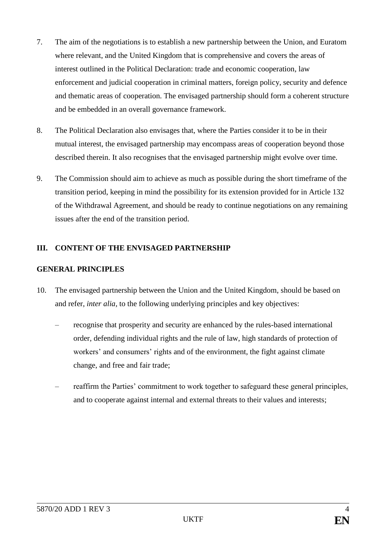- 7. The aim of the negotiations is to establish a new partnership between the Union, and Euratom where relevant, and the United Kingdom that is comprehensive and covers the areas of interest outlined in the Political Declaration: trade and economic cooperation, law enforcement and judicial cooperation in criminal matters, foreign policy, security and defence and thematic areas of cooperation. The envisaged partnership should form a coherent structure and be embedded in an overall governance framework.
- 8. The Political Declaration also envisages that, where the Parties consider it to be in their mutual interest, the envisaged partnership may encompass areas of cooperation beyond those described therein. It also recognises that the envisaged partnership might evolve over time.
- 9. The Commission should aim to achieve as much as possible during the short timeframe of the transition period, keeping in mind the possibility for its extension provided for in Article 132 of the Withdrawal Agreement, and should be ready to continue negotiations on any remaining issues after the end of the transition period.

# **III. CONTENT OF THE ENVISAGED PARTNERSHIP**

## **GENERAL PRINCIPLES**

- 10. The envisaged partnership between the Union and the United Kingdom, should be based on and refer, *inter alia*, to the following underlying principles and key objectives:
	- recognise that prosperity and security are enhanced by the rules-based international order, defending individual rights and the rule of law, high standards of protection of workers' and consumers' rights and of the environment, the fight against climate change, and free and fair trade;
	- reaffirm the Parties' commitment to work together to safeguard these general principles, and to cooperate against internal and external threats to their values and interests;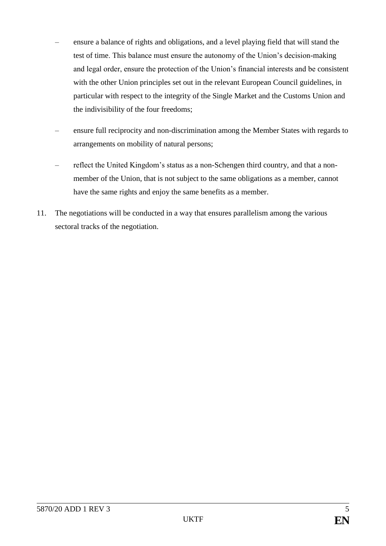- ensure a balance of rights and obligations, and a level playing field that will stand the test of time. This balance must ensure the autonomy of the Union's decision-making and legal order, ensure the protection of the Union's financial interests and be consistent with the other Union principles set out in the relevant European Council guidelines, in particular with respect to the integrity of the Single Market and the Customs Union and the indivisibility of the four freedoms;
- ensure full reciprocity and non-discrimination among the Member States with regards to arrangements on mobility of natural persons;
- reflect the United Kingdom's status as a non-Schengen third country, and that a nonmember of the Union, that is not subject to the same obligations as a member, cannot have the same rights and enjoy the same benefits as a member.
- 11. The negotiations will be conducted in a way that ensures parallelism among the various sectoral tracks of the negotiation.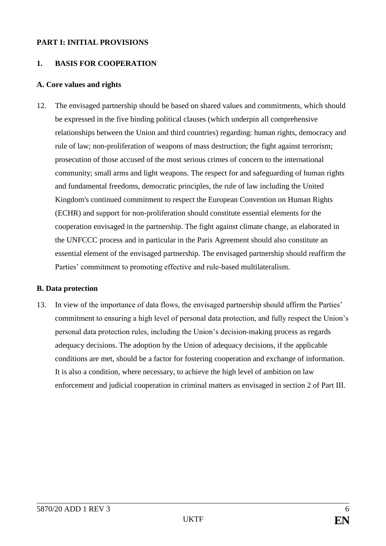#### **PART I: INITIAL PROVISIONS**

### **1. BASIS FOR COOPERATION**

#### **A. Core values and rights**

12. The envisaged partnership should be based on shared values and commitments, which should be expressed in the five binding political clauses (which underpin all comprehensive relationships between the Union and third countries) regarding: human rights, democracy and rule of law; non-proliferation of weapons of mass destruction; the fight against terrorism; prosecution of those accused of the most serious crimes of concern to the international community; small arms and light weapons. The respect for and safeguarding of human rights and fundamental freedoms, democratic principles, the rule of law including the United Kingdom's continued commitment to respect the European Convention on Human Rights (ECHR) and support for non-proliferation should constitute essential elements for the cooperation envisaged in the partnership. The fight against climate change, as elaborated in the UNFCCC process and in particular in the Paris Agreement should also constitute an essential element of the envisaged partnership. The envisaged partnership should reaffirm the Parties' commitment to promoting effective and rule-based multilateralism.

#### **B. Data protection**

13. In view of the importance of data flows, the envisaged partnership should affirm the Parties' commitment to ensuring a high level of personal data protection, and fully respect the Union's personal data protection rules, including the Union's decision-making process as regards adequacy decisions. The adoption by the Union of adequacy decisions, if the applicable conditions are met, should be a factor for fostering cooperation and exchange of information. It is also a condition, where necessary, to achieve the high level of ambition on law enforcement and judicial cooperation in criminal matters as envisaged in section 2 of Part III.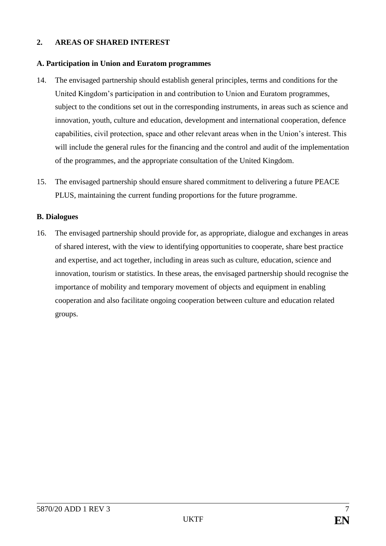## **2. AREAS OF SHARED INTEREST**

#### **A. Participation in Union and Euratom programmes**

- 14. The envisaged partnership should establish general principles, terms and conditions for the United Kingdom's participation in and contribution to Union and Euratom programmes, subject to the conditions set out in the corresponding instruments, in areas such as science and innovation, youth, culture and education, development and international cooperation, defence capabilities, civil protection, space and other relevant areas when in the Union's interest. This will include the general rules for the financing and the control and audit of the implementation of the programmes, and the appropriate consultation of the United Kingdom.
- 15. The envisaged partnership should ensure shared commitment to delivering a future PEACE PLUS, maintaining the current funding proportions for the future programme.

#### **B. Dialogues**

16. The envisaged partnership should provide for, as appropriate, dialogue and exchanges in areas of shared interest, with the view to identifying opportunities to cooperate, share best practice and expertise, and act together, including in areas such as culture, education, science and innovation, tourism or statistics. In these areas, the envisaged partnership should recognise the importance of mobility and temporary movement of objects and equipment in enabling cooperation and also facilitate ongoing cooperation between culture and education related groups.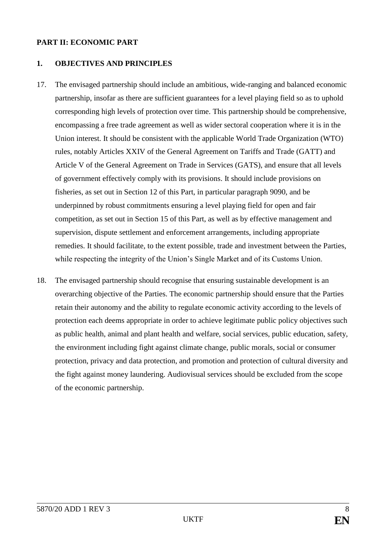#### **PART II: ECONOMIC PART**

#### **1. OBJECTIVES AND PRINCIPLES**

- 17. The envisaged partnership should include an ambitious, wide-ranging and balanced economic partnership, insofar as there are sufficient guarantees for a level playing field so as to uphold corresponding high levels of protection over time. This partnership should be comprehensive, encompassing a free trade agreement as well as wider sectoral cooperation where it is in the Union interest. It should be consistent with the applicable World Trade Organization (WTO) rules, notably Articles XXIV of the General Agreement on Tariffs and Trade (GATT) and Article V of the General Agreement on Trade in Services (GATS), and ensure that all levels of government effectively comply with its provisions. It should include provisions on fisheries, as set out in Section 12 of this Part, in particular paragraph [909](#page-24-0)0, and be underpinned by robust commitments ensuring a level playing field for open and fair competition, as set out in Section 15 of this Part, as well as by effective management and supervision, dispute settlement and enforcement arrangements, including appropriate remedies. It should facilitate, to the extent possible, trade and investment between the Parties, while respecting the integrity of the Union's Single Market and of its Customs Union.
- 18. The envisaged partnership should recognise that ensuring sustainable development is an overarching objective of the Parties. The economic partnership should ensure that the Parties retain their autonomy and the ability to regulate economic activity according to the levels of protection each deems appropriate in order to achieve legitimate public policy objectives such as public health, animal and plant health and welfare, social services, public education, safety, the environment including fight against climate change, public morals, social or consumer protection, privacy and data protection, and promotion and protection of cultural diversity and the fight against money laundering. Audiovisual services should be excluded from the scope of the economic partnership.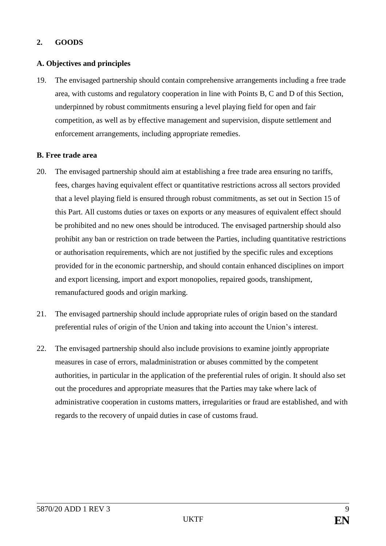# **2. GOODS**

## **A. Objectives and principles**

19. The envisaged partnership should contain comprehensive arrangements including a free trade area, with customs and regulatory cooperation in line with Points B, C and D of this Section, underpinned by robust commitments ensuring a level playing field for open and fair competition, as well as by effective management and supervision, dispute settlement and enforcement arrangements, including appropriate remedies.

#### **B. Free trade area**

- 20. The envisaged partnership should aim at establishing a free trade area ensuring no tariffs, fees, charges having equivalent effect or quantitative restrictions across all sectors provided that a level playing field is ensured through robust commitments, as set out in Section 15 of this Part. All customs duties or taxes on exports or any measures of equivalent effect should be prohibited and no new ones should be introduced. The envisaged partnership should also prohibit any ban or restriction on trade between the Parties, including quantitative restrictions or authorisation requirements, which are not justified by the specific rules and exceptions provided for in the economic partnership, and should contain enhanced disciplines on import and export licensing, import and export monopolies, repaired goods, transhipment, remanufactured goods and origin marking.
- 21. The envisaged partnership should include appropriate rules of origin based on the standard preferential rules of origin of the Union and taking into account the Union's interest.
- 22. The envisaged partnership should also include provisions to examine jointly appropriate measures in case of errors, maladministration or abuses committed by the competent authorities, in particular in the application of the preferential rules of origin. It should also set out the procedures and appropriate measures that the Parties may take where lack of administrative cooperation in customs matters, irregularities or fraud are established, and with regards to the recovery of unpaid duties in case of customs fraud.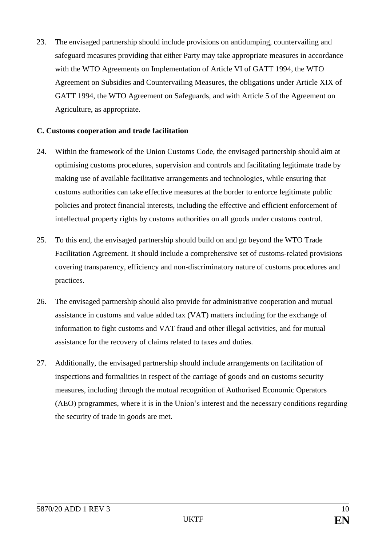23. The envisaged partnership should include provisions on antidumping, countervailing and safeguard measures providing that either Party may take appropriate measures in accordance with the WTO Agreements on Implementation of Article VI of GATT 1994, the WTO Agreement on Subsidies and Countervailing Measures, the obligations under Article XIX of GATT 1994, the WTO Agreement on Safeguards, and with Article 5 of the Agreement on Agriculture, as appropriate.

#### **C. Customs cooperation and trade facilitation**

- 24. Within the framework of the Union Customs Code, the envisaged partnership should aim at optimising customs procedures, supervision and controls and facilitating legitimate trade by making use of available facilitative arrangements and technologies, while ensuring that customs authorities can take effective measures at the border to enforce legitimate public policies and protect financial interests, including the effective and efficient enforcement of intellectual property rights by customs authorities on all goods under customs control.
- 25. To this end, the envisaged partnership should build on and go beyond the WTO Trade Facilitation Agreement. It should include a comprehensive set of customs-related provisions covering transparency, efficiency and non-discriminatory nature of customs procedures and practices.
- 26. The envisaged partnership should also provide for administrative cooperation and mutual assistance in customs and value added tax (VAT) matters including for the exchange of information to fight customs and VAT fraud and other illegal activities, and for mutual assistance for the recovery of claims related to taxes and duties.
- 27. Additionally, the envisaged partnership should include arrangements on facilitation of inspections and formalities in respect of the carriage of goods and on customs security measures, including through the mutual recognition of Authorised Economic Operators (AEO) programmes, where it is in the Union's interest and the necessary conditions regarding the security of trade in goods are met.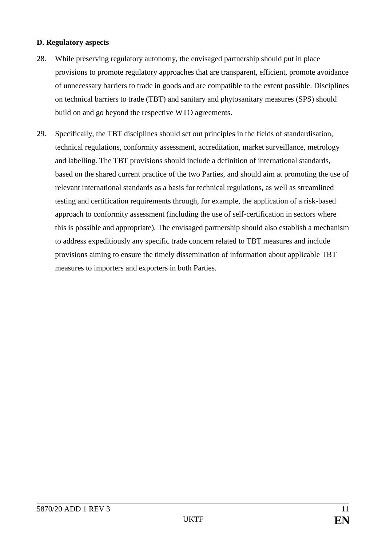#### **D. Regulatory aspects**

- 28. While preserving regulatory autonomy, the envisaged partnership should put in place provisions to promote regulatory approaches that are transparent, efficient, promote avoidance of unnecessary barriers to trade in goods and are compatible to the extent possible. Disciplines on technical barriers to trade (TBT) and sanitary and phytosanitary measures (SPS) should build on and go beyond the respective WTO agreements.
- 29. Specifically, the TBT disciplines should set out principles in the fields of standardisation, technical regulations, conformity assessment, accreditation, market surveillance, metrology and labelling. The TBT provisions should include a definition of international standards, based on the shared current practice of the two Parties, and should aim at promoting the use of relevant international standards as a basis for technical regulations, as well as streamlined testing and certification requirements through, for example, the application of a risk-based approach to conformity assessment (including the use of self-certification in sectors where this is possible and appropriate). The envisaged partnership should also establish a mechanism to address expeditiously any specific trade concern related to TBT measures and include provisions aiming to ensure the timely dissemination of information about applicable TBT measures to importers and exporters in both Parties.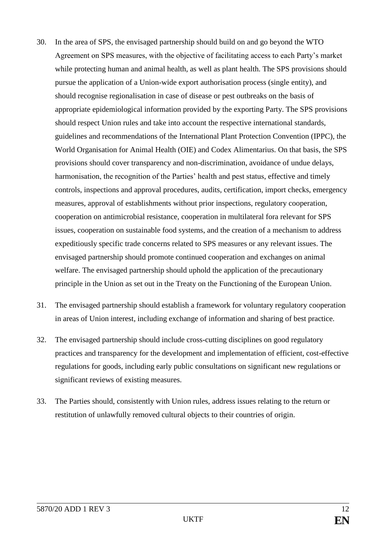- 30. In the area of SPS, the envisaged partnership should build on and go beyond the WTO Agreement on SPS measures, with the objective of facilitating access to each Party's market while protecting human and animal health, as well as plant health. The SPS provisions should pursue the application of a Union-wide export authorisation process (single entity), and should recognise regionalisation in case of disease or pest outbreaks on the basis of appropriate epidemiological information provided by the exporting Party. The SPS provisions should respect Union rules and take into account the respective international standards, guidelines and recommendations of the International Plant Protection Convention (IPPC), the World Organisation for Animal Health (OIE) and Codex Alimentarius. On that basis, the SPS provisions should cover transparency and non-discrimination, avoidance of undue delays, harmonisation, the recognition of the Parties' health and pest status, effective and timely controls, inspections and approval procedures, audits, certification, import checks, emergency measures, approval of establishments without prior inspections, regulatory cooperation, cooperation on antimicrobial resistance, cooperation in multilateral fora relevant for SPS issues, cooperation on sustainable food systems, and the creation of a mechanism to address expeditiously specific trade concerns related to SPS measures or any relevant issues. The envisaged partnership should promote continued cooperation and exchanges on animal welfare. The envisaged partnership should uphold the application of the precautionary principle in the Union as set out in the Treaty on the Functioning of the European Union.
- 31. The envisaged partnership should establish a framework for voluntary regulatory cooperation in areas of Union interest, including exchange of information and sharing of best practice.
- 32. The envisaged partnership should include cross-cutting disciplines on good regulatory practices and transparency for the development and implementation of efficient, cost-effective regulations for goods, including early public consultations on significant new regulations or significant reviews of existing measures.
- 33. The Parties should, consistently with Union rules, address issues relating to the return or restitution of unlawfully removed cultural objects to their countries of origin.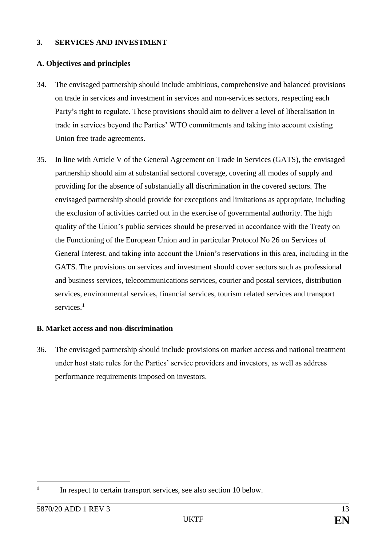#### **3. SERVICES AND INVESTMENT**

#### **A. Objectives and principles**

- 34. The envisaged partnership should include ambitious, comprehensive and balanced provisions on trade in services and investment in services and non-services sectors, respecting each Party's right to regulate. These provisions should aim to deliver a level of liberalisation in trade in services beyond the Parties' WTO commitments and taking into account existing Union free trade agreements.
- 35. In line with Article V of the General Agreement on Trade in Services (GATS), the envisaged partnership should aim at substantial sectoral coverage, covering all modes of supply and providing for the absence of substantially all discrimination in the covered sectors. The envisaged partnership should provide for exceptions and limitations as appropriate, including the exclusion of activities carried out in the exercise of governmental authority. The high quality of the Union's public services should be preserved in accordance with the Treaty on the Functioning of the European Union and in particular Protocol No 26 on Services of General Interest, and taking into account the Union's reservations in this area, including in the GATS. The provisions on services and investment should cover sectors such as professional and business services, telecommunications services, courier and postal services, distribution services, environmental services, financial services, tourism related services and transport services.**<sup>1</sup>**

#### **B. Market access and non-discrimination**

36. The envisaged partnership should include provisions on market access and national treatment under host state rules for the Parties' service providers and investors, as well as address performance requirements imposed on investors.

<sup>&</sup>lt;u>.</u> **1** In respect to certain transport services, see also section 10 below.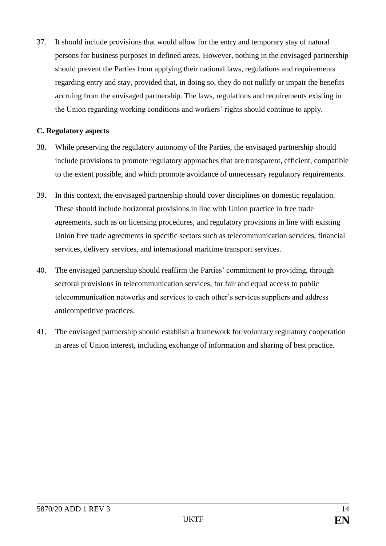37. It should include provisions that would allow for the entry and temporary stay of natural persons for business purposes in defined areas. However, nothing in the envisaged partnership should prevent the Parties from applying their national laws, regulations and requirements regarding entry and stay, provided that, in doing so, they do not nullify or impair the benefits accruing from the envisaged partnership. The laws, regulations and requirements existing in the Union regarding working conditions and workers' rights should continue to apply.

#### **C. Regulatory aspects**

- 38. While preserving the regulatory autonomy of the Parties, the envisaged partnership should include provisions to promote regulatory approaches that are transparent, efficient, compatible to the extent possible, and which promote avoidance of unnecessary regulatory requirements.
- 39. In this context, the envisaged partnership should cover disciplines on domestic regulation. These should include horizontal provisions in line with Union practice in free trade agreements, such as on licensing procedures, and regulatory provisions in line with existing Union free trade agreements in specific sectors such as telecommunication services, financial services, delivery services, and international maritime transport services.
- 40. The envisaged partnership should reaffirm the Parties' commitment to providing, through sectoral provisions in telecommunication services, for fair and equal access to public telecommunication networks and services to each other's services suppliers and address anticompetitive practices.
- 41. The envisaged partnership should establish a framework for voluntary regulatory cooperation in areas of Union interest, including exchange of information and sharing of best practice.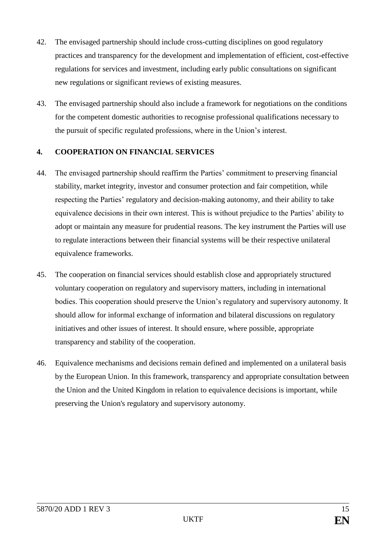- 42. The envisaged partnership should include cross-cutting disciplines on good regulatory practices and transparency for the development and implementation of efficient, cost-effective regulations for services and investment, including early public consultations on significant new regulations or significant reviews of existing measures.
- 43. The envisaged partnership should also include a framework for negotiations on the conditions for the competent domestic authorities to recognise professional qualifications necessary to the pursuit of specific regulated professions, where in the Union's interest.

# **4. COOPERATION ON FINANCIAL SERVICES**

- 44. The envisaged partnership should reaffirm the Parties' commitment to preserving financial stability, market integrity, investor and consumer protection and fair competition, while respecting the Parties' regulatory and decision-making autonomy, and their ability to take equivalence decisions in their own interest. This is without prejudice to the Parties' ability to adopt or maintain any measure for prudential reasons. The key instrument the Parties will use to regulate interactions between their financial systems will be their respective unilateral equivalence frameworks.
- 45. The cooperation on financial services should establish close and appropriately structured voluntary cooperation on regulatory and supervisory matters, including in international bodies. This cooperation should preserve the Union's regulatory and supervisory autonomy. It should allow for informal exchange of information and bilateral discussions on regulatory initiatives and other issues of interest. It should ensure, where possible, appropriate transparency and stability of the cooperation.
- 46. Equivalence mechanisms and decisions remain defined and implemented on a unilateral basis by the European Union. In this framework, transparency and appropriate consultation between the Union and the United Kingdom in relation to equivalence decisions is important, while preserving the Union's regulatory and supervisory autonomy.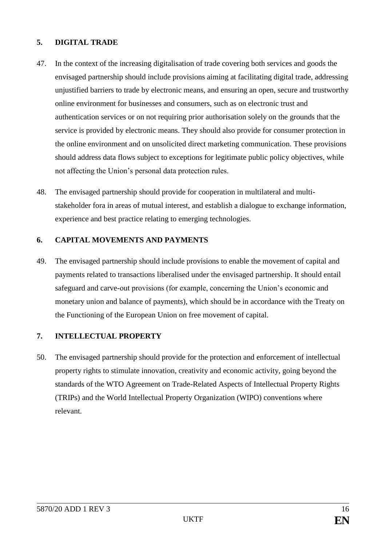## **5. DIGITAL TRADE**

- 47. In the context of the increasing digitalisation of trade covering both services and goods the envisaged partnership should include provisions aiming at facilitating digital trade, addressing unjustified barriers to trade by electronic means, and ensuring an open, secure and trustworthy online environment for businesses and consumers, such as on electronic trust and authentication services or on not requiring prior authorisation solely on the grounds that the service is provided by electronic means. They should also provide for consumer protection in the online environment and on unsolicited direct marketing communication. These provisions should address data flows subject to exceptions for legitimate public policy objectives, while not affecting the Union's personal data protection rules.
- 48. The envisaged partnership should provide for cooperation in multilateral and multistakeholder fora in areas of mutual interest, and establish a dialogue to exchange information, experience and best practice relating to emerging technologies.

## **6. CAPITAL MOVEMENTS AND PAYMENTS**

49. The envisaged partnership should include provisions to enable the movement of capital and payments related to transactions liberalised under the envisaged partnership. It should entail safeguard and carve-out provisions (for example, concerning the Union's economic and monetary union and balance of payments), which should be in accordance with the Treaty on the Functioning of the European Union on free movement of capital.

## **7. INTELLECTUAL PROPERTY**

50. The envisaged partnership should provide for the protection and enforcement of intellectual property rights to stimulate innovation, creativity and economic activity, going beyond the standards of the WTO Agreement on Trade-Related Aspects of Intellectual Property Rights (TRIPs) and the World Intellectual Property Organization (WIPO) conventions where relevant.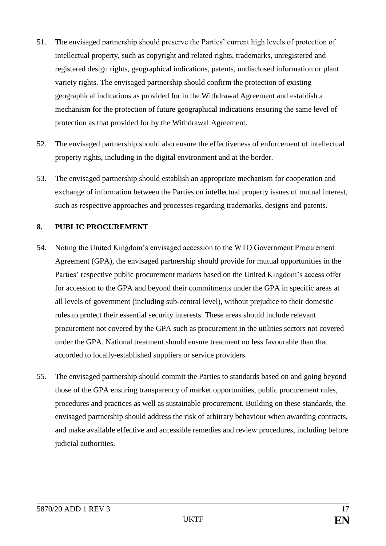- 51. The envisaged partnership should preserve the Parties' current high levels of protection of intellectual property, such as copyright and related rights, trademarks, unregistered and registered design rights, geographical indications, patents, undisclosed information or plant variety rights. The envisaged partnership should confirm the protection of existing geographical indications as provided for in the Withdrawal Agreement and establish a mechanism for the protection of future geographical indications ensuring the same level of protection as that provided for by the Withdrawal Agreement.
- 52. The envisaged partnership should also ensure the effectiveness of enforcement of intellectual property rights, including in the digital environment and at the border.
- 53. The envisaged partnership should establish an appropriate mechanism for cooperation and exchange of information between the Parties on intellectual property issues of mutual interest, such as respective approaches and processes regarding trademarks, designs and patents.

# **8. PUBLIC PROCUREMENT**

- 54. Noting the United Kingdom's envisaged accession to the WTO Government Procurement Agreement (GPA), the envisaged partnership should provide for mutual opportunities in the Parties' respective public procurement markets based on the United Kingdom's access offer for accession to the GPA and beyond their commitments under the GPA in specific areas at all levels of government (including sub-central level), without prejudice to their domestic rules to protect their essential security interests. These areas should include relevant procurement not covered by the GPA such as procurement in the utilities sectors not covered under the GPA. National treatment should ensure treatment no less favourable than that accorded to locally-established suppliers or service providers.
- 55. The envisaged partnership should commit the Parties to standards based on and going beyond those of the GPA ensuring transparency of market opportunities, public procurement rules, procedures and practices as well as sustainable procurement. Building on these standards, the envisaged partnership should address the risk of arbitrary behaviour when awarding contracts, and make available effective and accessible remedies and review procedures, including before judicial authorities.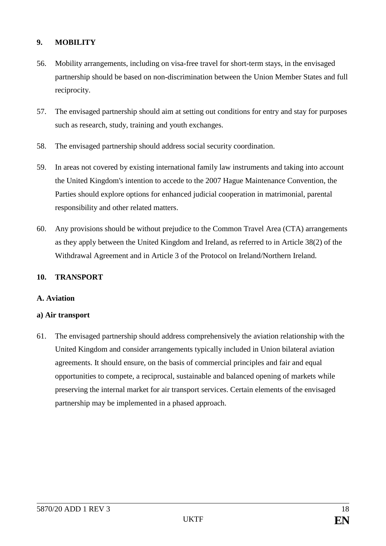# **9. MOBILITY**

- 56. Mobility arrangements, including on visa-free travel for short-term stays, in the envisaged partnership should be based on non-discrimination between the Union Member States and full reciprocity.
- 57. The envisaged partnership should aim at setting out conditions for entry and stay for purposes such as research, study, training and youth exchanges.
- 58. The envisaged partnership should address social security coordination.
- 59. In areas not covered by existing international family law instruments and taking into account the United Kingdom's intention to accede to the 2007 Hague Maintenance Convention, the Parties should explore options for enhanced judicial cooperation in matrimonial, parental responsibility and other related matters.
- 60. Any provisions should be without prejudice to the Common Travel Area (CTA) arrangements as they apply between the United Kingdom and Ireland, as referred to in Article 38(2) of the Withdrawal Agreement and in Article 3 of the Protocol on Ireland/Northern Ireland.

#### **10. TRANSPORT**

#### **A. Aviation**

#### **a) Air transport**

61. The envisaged partnership should address comprehensively the aviation relationship with the United Kingdom and consider arrangements typically included in Union bilateral aviation agreements. It should ensure, on the basis of commercial principles and fair and equal opportunities to compete, a reciprocal, sustainable and balanced opening of markets while preserving the internal market for air transport services. Certain elements of the envisaged partnership may be implemented in a phased approach.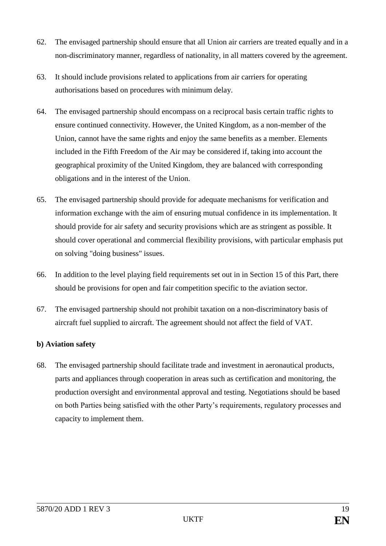- 62. The envisaged partnership should ensure that all Union air carriers are treated equally and in a non-discriminatory manner, regardless of nationality, in all matters covered by the agreement.
- 63. It should include provisions related to applications from air carriers for operating authorisations based on procedures with minimum delay.
- 64. The envisaged partnership should encompass on a reciprocal basis certain traffic rights to ensure continued connectivity. However, the United Kingdom, as a non-member of the Union, cannot have the same rights and enjoy the same benefits as a member. Elements included in the Fifth Freedom of the Air may be considered if, taking into account the geographical proximity of the United Kingdom, they are balanced with corresponding obligations and in the interest of the Union.
- 65. The envisaged partnership should provide for adequate mechanisms for verification and information exchange with the aim of ensuring mutual confidence in its implementation. It should provide for air safety and security provisions which are as stringent as possible. It should cover operational and commercial flexibility provisions, with particular emphasis put on solving "doing business" issues.
- 66. In addition to the level playing field requirements set out in in Section 15 of this Part, there should be provisions for open and fair competition specific to the aviation sector.
- 67. The envisaged partnership should not prohibit taxation on a non-discriminatory basis of aircraft fuel supplied to aircraft. The agreement should not affect the field of VAT.

## **b) Aviation safety**

68. The envisaged partnership should facilitate trade and investment in aeronautical products, parts and appliances through cooperation in areas such as certification and monitoring, the production oversight and environmental approval and testing. Negotiations should be based on both Parties being satisfied with the other Party's requirements, regulatory processes and capacity to implement them.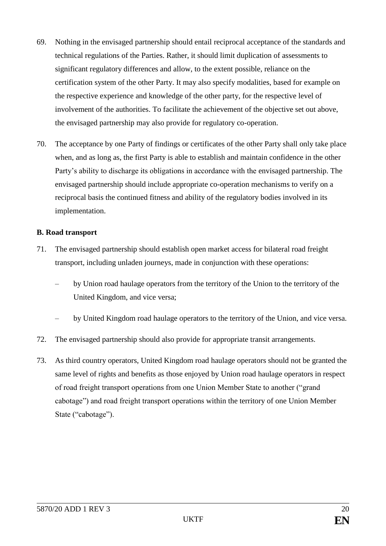- 69. Nothing in the envisaged partnership should entail reciprocal acceptance of the standards and technical regulations of the Parties. Rather, it should limit duplication of assessments to significant regulatory differences and allow, to the extent possible, reliance on the certification system of the other Party. It may also specify modalities, based for example on the respective experience and knowledge of the other party, for the respective level of involvement of the authorities. To facilitate the achievement of the objective set out above, the envisaged partnership may also provide for regulatory co-operation.
- 70. The acceptance by one Party of findings or certificates of the other Party shall only take place when, and as long as, the first Party is able to establish and maintain confidence in the other Party's ability to discharge its obligations in accordance with the envisaged partnership. The envisaged partnership should include appropriate co-operation mechanisms to verify on a reciprocal basis the continued fitness and ability of the regulatory bodies involved in its implementation.

#### **B. Road transport**

- 71. The envisaged partnership should establish open market access for bilateral road freight transport, including unladen journeys, made in conjunction with these operations:
	- by Union road haulage operators from the territory of the Union to the territory of the United Kingdom, and vice versa;
	- by United Kingdom road haulage operators to the territory of the Union, and vice versa.
- 72. The envisaged partnership should also provide for appropriate transit arrangements.
- 73. As third country operators, United Kingdom road haulage operators should not be granted the same level of rights and benefits as those enjoyed by Union road haulage operators in respect of road freight transport operations from one Union Member State to another ("grand cabotage") and road freight transport operations within the territory of one Union Member State ("cabotage").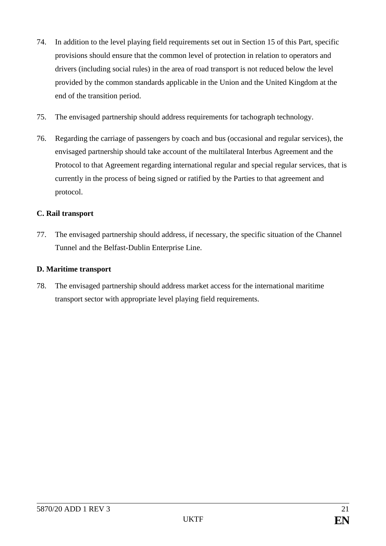- 74. In addition to the level playing field requirements set out in Section 15 of this Part, specific provisions should ensure that the common level of protection in relation to operators and drivers (including social rules) in the area of road transport is not reduced below the level provided by the common standards applicable in the Union and the United Kingdom at the end of the transition period.
- 75. The envisaged partnership should address requirements for tachograph technology.
- 76. Regarding the carriage of passengers by coach and bus (occasional and regular services), the envisaged partnership should take account of the multilateral Interbus Agreement and the Protocol to that Agreement regarding international regular and special regular services, that is currently in the process of being signed or ratified by the Parties to that agreement and protocol.

# **C. Rail transport**

77. The envisaged partnership should address, if necessary, the specific situation of the Channel Tunnel and the Belfast-Dublin Enterprise Line.

## **D. Maritime transport**

78. The envisaged partnership should address market access for the international maritime transport sector with appropriate level playing field requirements.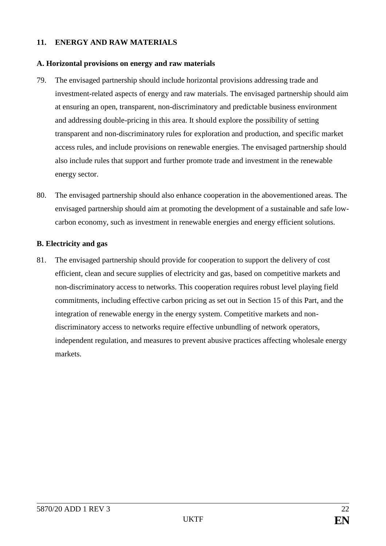## **11. ENERGY AND RAW MATERIALS**

#### **A. Horizontal provisions on energy and raw materials**

- 79. The envisaged partnership should include horizontal provisions addressing trade and investment-related aspects of energy and raw materials. The envisaged partnership should aim at ensuring an open, transparent, non-discriminatory and predictable business environment and addressing double-pricing in this area. It should explore the possibility of setting transparent and non-discriminatory rules for exploration and production, and specific market access rules, and include provisions on renewable energies. The envisaged partnership should also include rules that support and further promote trade and investment in the renewable energy sector.
- 80. The envisaged partnership should also enhance cooperation in the abovementioned areas. The envisaged partnership should aim at promoting the development of a sustainable and safe lowcarbon economy, such as investment in renewable energies and energy efficient solutions.

#### **B. Electricity and gas**

81. The envisaged partnership should provide for cooperation to support the delivery of cost efficient, clean and secure supplies of electricity and gas, based on competitive markets and non-discriminatory access to networks. This cooperation requires robust level playing field commitments, including effective carbon pricing as set out in Section 15 of this Part, and the integration of renewable energy in the energy system. Competitive markets and nondiscriminatory access to networks require effective unbundling of network operators, independent regulation, and measures to prevent abusive practices affecting wholesale energy markets.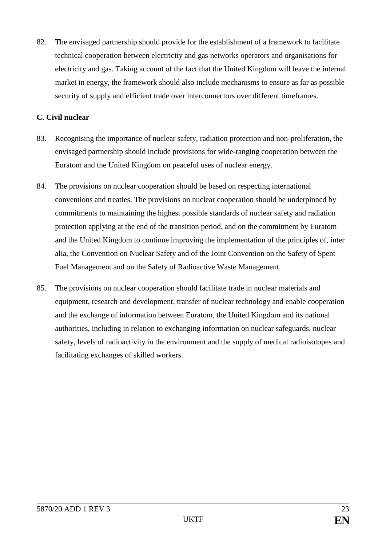82. The envisaged partnership should provide for the establishment of a framework to facilitate technical cooperation between electricity and gas networks operators and organisations for electricity and gas. Taking account of the fact that the United Kingdom will leave the internal market in energy, the framework should also include mechanisms to ensure as far as possible security of supply and efficient trade over interconnectors over different timeframes.

## **C. Civil nuclear**

- 83. Recognising the importance of nuclear safety, radiation protection and non-proliferation, the envisaged partnership should include provisions for wide-ranging cooperation between the Euratom and the United Kingdom on peaceful uses of nuclear energy.
- 84. The provisions on nuclear cooperation should be based on respecting international conventions and treaties. The provisions on nuclear cooperation should be underpinned by commitments to maintaining the highest possible standards of nuclear safety and radiation protection applying at the end of the transition period, and on the commitment by Euratom and the United Kingdom to continue improving the implementation of the principles of, inter alia, the Convention on Nuclear Safety and of the Joint Convention on the Safety of Spent Fuel Management and on the Safety of Radioactive Waste Management.
- 85. The provisions on nuclear cooperation should facilitate trade in nuclear materials and equipment, research and development, transfer of nuclear technology and enable cooperation and the exchange of information between Euratom, the United Kingdom and its national authorities, including in relation to exchanging information on nuclear safeguards, nuclear safety, levels of radioactivity in the environment and the supply of medical radioisotopes and facilitating exchanges of skilled workers.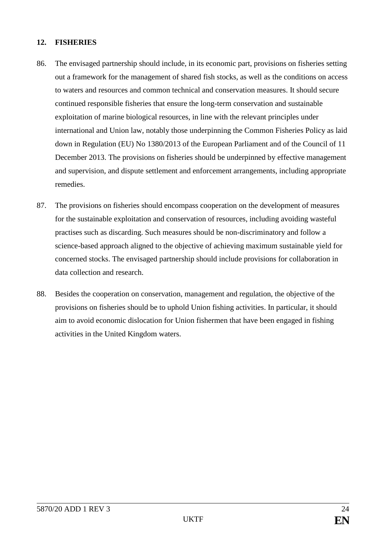## **12. FISHERIES**

- 86. The envisaged partnership should include, in its economic part, provisions on fisheries setting out a framework for the management of shared fish stocks, as well as the conditions on access to waters and resources and common technical and conservation measures. It should secure continued responsible fisheries that ensure the long-term conservation and sustainable exploitation of marine biological resources, in line with the relevant principles under international and Union law, notably those underpinning the Common Fisheries Policy as laid down in Regulation (EU) No 1380/2013 of the European Parliament and of the Council of 11 December 2013. The provisions on fisheries should be underpinned by effective management and supervision, and dispute settlement and enforcement arrangements, including appropriate remedies.
- 87. The provisions on fisheries should encompass cooperation on the development of measures for the sustainable exploitation and conservation of resources, including avoiding wasteful practises such as discarding. Such measures should be non-discriminatory and follow a science-based approach aligned to the objective of achieving maximum sustainable yield for concerned stocks. The envisaged partnership should include provisions for collaboration in data collection and research.
- 88. Besides the cooperation on conservation, management and regulation, the objective of the provisions on fisheries should be to uphold Union fishing activities. In particular, it should aim to avoid economic dislocation for Union fishermen that have been engaged in fishing activities in the United Kingdom waters.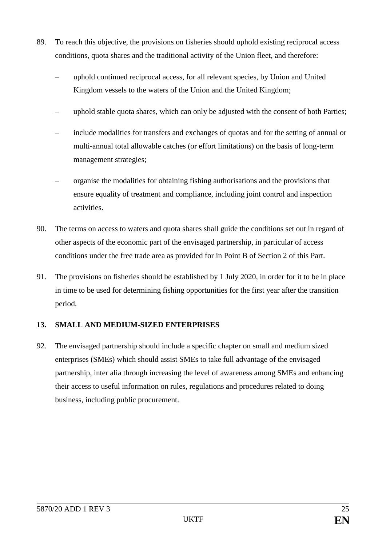- 89. To reach this objective, the provisions on fisheries should uphold existing reciprocal access conditions, quota shares and the traditional activity of the Union fleet, and therefore:
	- uphold continued reciprocal access, for all relevant species, by Union and United Kingdom vessels to the waters of the Union and the United Kingdom;
	- uphold stable quota shares, which can only be adjusted with the consent of both Parties;
	- include modalities for transfers and exchanges of quotas and for the setting of annual or multi-annual total allowable catches (or effort limitations) on the basis of long-term management strategies;
	- organise the modalities for obtaining fishing authorisations and the provisions that ensure equality of treatment and compliance, including joint control and inspection activities.
- <span id="page-24-0"></span>90. The terms on access to waters and quota shares shall guide the conditions set out in regard of other aspects of the economic part of the envisaged partnership, in particular of access conditions under the free trade area as provided for in Point B of Section 2 of this Part.
- 91. The provisions on fisheries should be established by 1 July 2020, in order for it to be in place in time to be used for determining fishing opportunities for the first year after the transition period.

## **13. SMALL AND MEDIUM-SIZED ENTERPRISES**

92. The envisaged partnership should include a specific chapter on small and medium sized enterprises (SMEs) which should assist SMEs to take full advantage of the envisaged partnership, inter alia through increasing the level of awareness among SMEs and enhancing their access to useful information on rules, regulations and procedures related to doing business, including public procurement.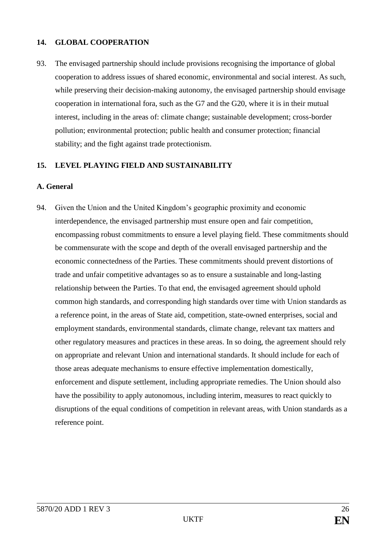## **14. GLOBAL COOPERATION**

93. The envisaged partnership should include provisions recognising the importance of global cooperation to address issues of shared economic, environmental and social interest. As such, while preserving their decision-making autonomy, the envisaged partnership should envisage cooperation in international fora, such as the G7 and the G20, where it is in their mutual interest, including in the areas of: climate change; sustainable development; cross-border pollution; environmental protection; public health and consumer protection; financial stability; and the fight against trade protectionism.

#### **15. LEVEL PLAYING FIELD AND SUSTAINABILITY**

#### **A. General**

<span id="page-25-0"></span>94. Given the Union and the United Kingdom's geographic proximity and economic interdependence, the envisaged partnership must ensure open and fair competition, encompassing robust commitments to ensure a level playing field. These commitments should be commensurate with the scope and depth of the overall envisaged partnership and the economic connectedness of the Parties. These commitments should prevent distortions of trade and unfair competitive advantages so as to ensure a sustainable and long-lasting relationship between the Parties. To that end, the envisaged agreement should uphold common high standards, and corresponding high standards over time with Union standards as a reference point, in the areas of State aid, competition, state-owned enterprises, social and employment standards, environmental standards, climate change, relevant tax matters and other regulatory measures and practices in these areas. In so doing, the agreement should rely on appropriate and relevant Union and international standards. It should include for each of those areas adequate mechanisms to ensure effective implementation domestically, enforcement and dispute settlement, including appropriate remedies. The Union should also have the possibility to apply autonomous, including interim, measures to react quickly to disruptions of the equal conditions of competition in relevant areas, with Union standards as a reference point.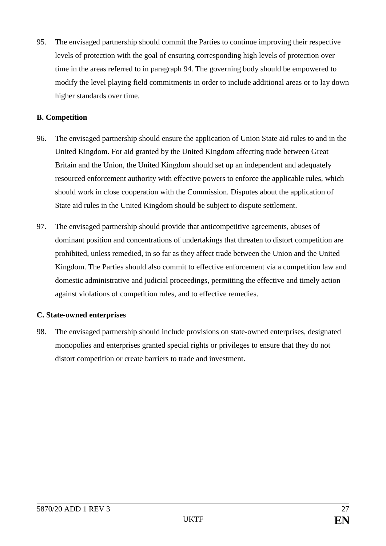95. The envisaged partnership should commit the Parties to continue improving their respective levels of protection with the goal of ensuring corresponding high levels of protection over time in the areas referred to in paragraph [94.](#page-25-0) The governing body should be empowered to modify the level playing field commitments in order to include additional areas or to lay down higher standards over time.

## **B. Competition**

- 96. The envisaged partnership should ensure the application of Union State aid rules to and in the United Kingdom. For aid granted by the United Kingdom affecting trade between Great Britain and the Union, the United Kingdom should set up an independent and adequately resourced enforcement authority with effective powers to enforce the applicable rules, which should work in close cooperation with the Commission. Disputes about the application of State aid rules in the United Kingdom should be subject to dispute settlement.
- 97. The envisaged partnership should provide that anticompetitive agreements, abuses of dominant position and concentrations of undertakings that threaten to distort competition are prohibited, unless remedied, in so far as they affect trade between the Union and the United Kingdom. The Parties should also commit to effective enforcement via a competition law and domestic administrative and judicial proceedings, permitting the effective and timely action against violations of competition rules, and to effective remedies.

## **C. State-owned enterprises**

98. The envisaged partnership should include provisions on state-owned enterprises, designated monopolies and enterprises granted special rights or privileges to ensure that they do not distort competition or create barriers to trade and investment.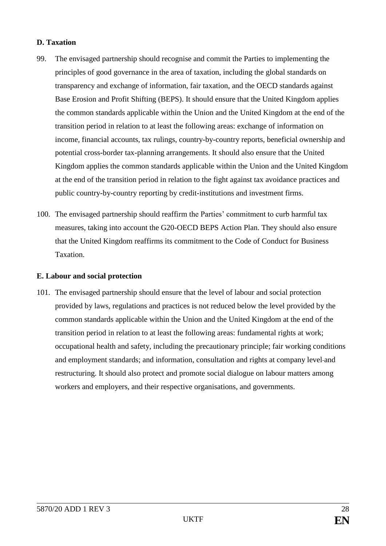## **D. Taxation**

- 99. The envisaged partnership should recognise and commit the Parties to implementing the principles of good governance in the area of taxation, including the global standards on transparency and exchange of information, fair taxation, and the OECD standards against Base Erosion and Profit Shifting (BEPS). It should ensure that the United Kingdom applies the common standards applicable within the Union and the United Kingdom at the end of the transition period in relation to at least the following areas: exchange of information on income, financial accounts, tax rulings, country-by-country reports, beneficial ownership and potential cross-border tax-planning arrangements. It should also ensure that the United Kingdom applies the common standards applicable within the Union and the United Kingdom at the end of the transition period in relation to the fight against tax avoidance practices and public country-by-country reporting by credit-institutions and investment firms.
- 100. The envisaged partnership should reaffirm the Parties' commitment to curb harmful tax measures, taking into account the G20-OECD BEPS Action Plan. They should also ensure that the United Kingdom reaffirms its commitment to the Code of Conduct for Business Taxation.

#### **E. Labour and social protection**

101. The envisaged partnership should ensure that the level of labour and social protection provided by laws, regulations and practices is not reduced below the level provided by the common standards applicable within the Union and the United Kingdom at the end of the transition period in relation to at least the following areas: fundamental rights at work; occupational health and safety, including the precautionary principle; fair working conditions and employment standards; and information, consultation and rights at company level and restructuring. It should also protect and promote social dialogue on labour matters among workers and employers, and their respective organisations, and governments.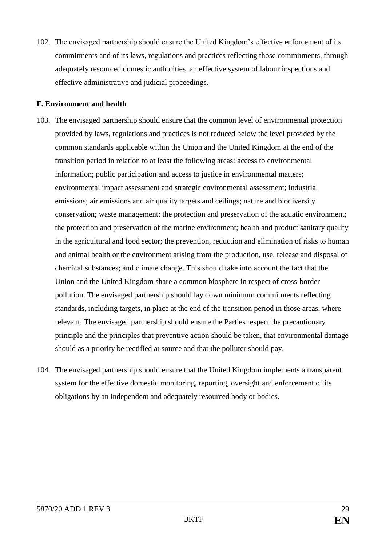102. The envisaged partnership should ensure the United Kingdom's effective enforcement of its commitments and of its laws, regulations and practices reflecting those commitments, through adequately resourced domestic authorities, an effective system of labour inspections and effective administrative and judicial proceedings.

#### **F. Environment and health**

- 103. The envisaged partnership should ensure that the common level of environmental protection provided by laws, regulations and practices is not reduced below the level provided by the common standards applicable within the Union and the United Kingdom at the end of the transition period in relation to at least the following areas: access to environmental information; public participation and access to justice in environmental matters; environmental impact assessment and strategic environmental assessment; industrial emissions; air emissions and air quality targets and ceilings; nature and biodiversity conservation; waste management; the protection and preservation of the aquatic environment; the protection and preservation of the marine environment; health and product sanitary quality in the agricultural and food sector; the prevention, reduction and elimination of risks to human and animal health or the environment arising from the production, use, release and disposal of chemical substances; and climate change. This should take into account the fact that the Union and the United Kingdom share a common biosphere in respect of cross-border pollution. The envisaged partnership should lay down minimum commitments reflecting standards, including targets, in place at the end of the transition period in those areas, where relevant. The envisaged partnership should ensure the Parties respect the precautionary principle and the principles that preventive action should be taken, that environmental damage should as a priority be rectified at source and that the polluter should pay.
- 104. The envisaged partnership should ensure that the United Kingdom implements a transparent system for the effective domestic monitoring, reporting, oversight and enforcement of its obligations by an independent and adequately resourced body or bodies.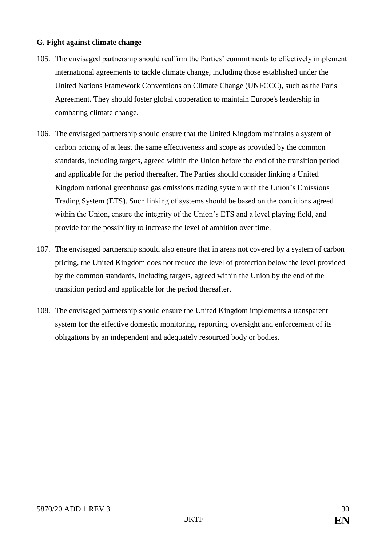#### **G. Fight against climate change**

- <span id="page-29-0"></span>105. The envisaged partnership should reaffirm the Parties' commitments to effectively implement international agreements to tackle climate change, including those established under the United Nations Framework Conventions on Climate Change (UNFCCC), such as the Paris Agreement. They should foster global cooperation to maintain Europe's leadership in combating climate change.
- 106. The envisaged partnership should ensure that the United Kingdom maintains a system of carbon pricing of at least the same effectiveness and scope as provided by the common standards, including targets, agreed within the Union before the end of the transition period and applicable for the period thereafter. The Parties should consider linking a United Kingdom national greenhouse gas emissions trading system with the Union's Emissions Trading System (ETS). Such linking of systems should be based on the conditions agreed within the Union, ensure the integrity of the Union's ETS and a level playing field, and provide for the possibility to increase the level of ambition over time.
- <span id="page-29-1"></span>107. The envisaged partnership should also ensure that in areas not covered by a system of carbon pricing, the United Kingdom does not reduce the level of protection below the level provided by the common standards, including targets, agreed within the Union by the end of the transition period and applicable for the period thereafter.
- 108. The envisaged partnership should ensure the United Kingdom implements a transparent system for the effective domestic monitoring, reporting, oversight and enforcement of its obligations by an independent and adequately resourced body or bodies.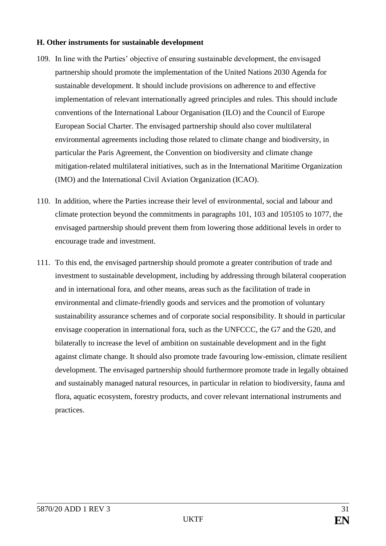#### **H. Other instruments for sustainable development**

- 109. In line with the Parties' objective of ensuring sustainable development, the envisaged partnership should promote the implementation of the United Nations 2030 Agenda for sustainable development. It should include provisions on adherence to and effective implementation of relevant internationally agreed principles and rules. This should include conventions of the International Labour Organisation (ILO) and the Council of Europe European Social Charter. The envisaged partnership should also cover multilateral environmental agreements including those related to climate change and biodiversity, in particular the Paris Agreement, the Convention on biodiversity and climate change mitigation-related multilateral initiatives, such as in the International Maritime Organization (IMO) and the International Civil Aviation Organization (ICAO).
- 110. In addition, where the Parties increase their level of environmental, social and labour and climate protection beyond the commitments in paragraphs 101, 103 and [1051](#page-29-0)05 to [1077](#page-29-1), the envisaged partnership should prevent them from lowering those additional levels in order to encourage trade and investment.
- 111. To this end, the envisaged partnership should promote a greater contribution of trade and investment to sustainable development, including by addressing through bilateral cooperation and in international fora, and other means, areas such as the facilitation of trade in environmental and climate-friendly goods and services and the promotion of voluntary sustainability assurance schemes and of corporate social responsibility. It should in particular envisage cooperation in international fora, such as the UNFCCC, the G7 and the G20, and bilaterally to increase the level of ambition on sustainable development and in the fight against climate change. It should also promote trade favouring low-emission, climate resilient development. The envisaged partnership should furthermore promote trade in legally obtained and sustainably managed natural resources, in particular in relation to biodiversity, fauna and flora, aquatic ecosystem, forestry products, and cover relevant international instruments and practices.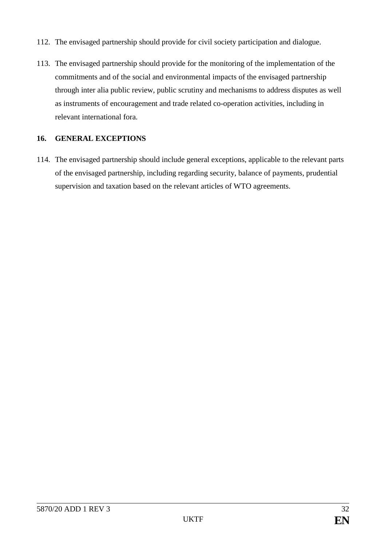- 112. The envisaged partnership should provide for civil society participation and dialogue.
- 113. The envisaged partnership should provide for the monitoring of the implementation of the commitments and of the social and environmental impacts of the envisaged partnership through inter alia public review, public scrutiny and mechanisms to address disputes as well as instruments of encouragement and trade related co-operation activities, including in relevant international fora.

## **16. GENERAL EXCEPTIONS**

114. The envisaged partnership should include general exceptions, applicable to the relevant parts of the envisaged partnership, including regarding security, balance of payments, prudential supervision and taxation based on the relevant articles of WTO agreements.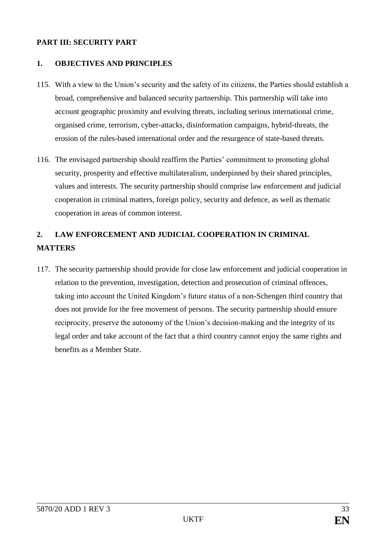## **PART III: SECURITY PART**

#### **1. OBJECTIVES AND PRINCIPLES**

- 115. With a view to the Union's security and the safety of its citizens, the Parties should establish a broad, comprehensive and balanced security partnership. This partnership will take into account geographic proximity and evolving threats, including serious international crime, organised crime, terrorism, cyber-attacks, disinformation campaigns, hybrid-threats, the erosion of the rules-based international order and the resurgence of state-based threats.
- 116. The envisaged partnership should reaffirm the Parties' commitment to promoting global security, prosperity and effective multilateralism, underpinned by their shared principles, values and interests. The security partnership should comprise law enforcement and judicial cooperation in criminal matters, foreign policy, security and defence, as well as thematic cooperation in areas of common interest.

# **2. LAW ENFORCEMENT AND JUDICIAL COOPERATION IN CRIMINAL MATTERS**

117. The security partnership should provide for close law enforcement and judicial cooperation in relation to the prevention, investigation, detection and prosecution of criminal offences, taking into account the United Kingdom's future status of a non-Schengen third country that does not provide for the free movement of persons. The security partnership should ensure reciprocity, preserve the autonomy of the Union's decision-making and the integrity of its legal order and take account of the fact that a third country cannot enjoy the same rights and benefits as a Member State.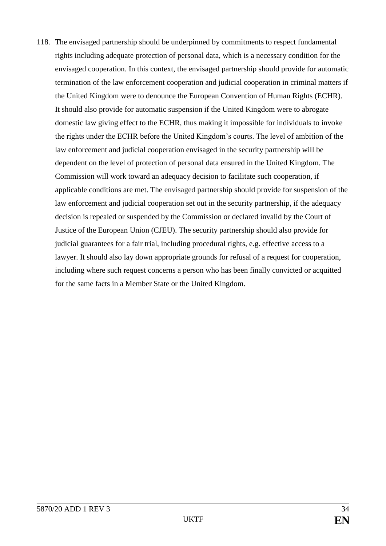118. The envisaged partnership should be underpinned by commitments to respect fundamental rights including adequate protection of personal data, which is a necessary condition for the envisaged cooperation. In this context, the envisaged partnership should provide for automatic termination of the law enforcement cooperation and judicial cooperation in criminal matters if the United Kingdom were to denounce the European Convention of Human Rights (ECHR). It should also provide for automatic suspension if the United Kingdom were to abrogate domestic law giving effect to the ECHR, thus making it impossible for individuals to invoke the rights under the ECHR before the United Kingdom's courts. The level of ambition of the law enforcement and judicial cooperation envisaged in the security partnership will be dependent on the level of protection of personal data ensured in the United Kingdom. The Commission will work toward an adequacy decision to facilitate such cooperation, if applicable conditions are met. The envisaged partnership should provide for suspension of the law enforcement and judicial cooperation set out in the security partnership, if the adequacy decision is repealed or suspended by the Commission or declared invalid by the Court of Justice of the European Union (CJEU). The security partnership should also provide for judicial guarantees for a fair trial, including procedural rights, e.g. effective access to a lawyer. It should also lay down appropriate grounds for refusal of a request for cooperation, including where such request concerns a person who has been finally convicted or acquitted for the same facts in a Member State or the United Kingdom.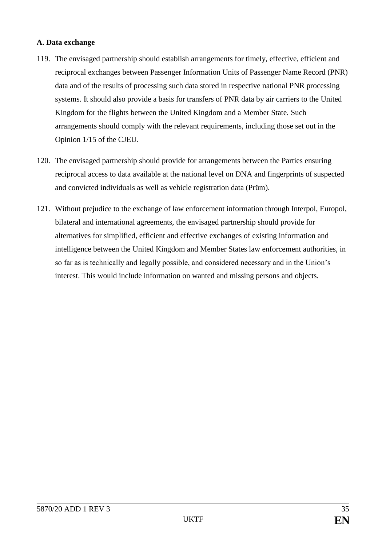### **A. Data exchange**

- 119. The envisaged partnership should establish arrangements for timely, effective, efficient and reciprocal exchanges between Passenger Information Units of Passenger Name Record (PNR) data and of the results of processing such data stored in respective national PNR processing systems. It should also provide a basis for transfers of PNR data by air carriers to the United Kingdom for the flights between the United Kingdom and a Member State. Such arrangements should comply with the relevant requirements, including those set out in the Opinion 1/15 of the CJEU.
- 120. The envisaged partnership should provide for arrangements between the Parties ensuring reciprocal access to data available at the national level on DNA and fingerprints of suspected and convicted individuals as well as vehicle registration data (Prüm).
- 121. Without prejudice to the exchange of law enforcement information through Interpol, Europol, bilateral and international agreements, the envisaged partnership should provide for alternatives for simplified, efficient and effective exchanges of existing information and intelligence between the United Kingdom and Member States law enforcement authorities, in so far as is technically and legally possible, and considered necessary and in the Union's interest. This would include information on wanted and missing persons and objects.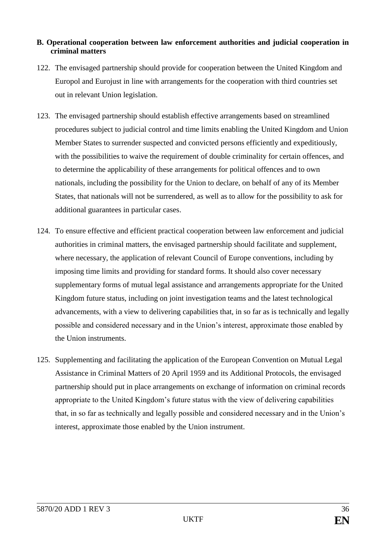## **B. Operational cooperation between law enforcement authorities and judicial cooperation in criminal matters**

- 122. The envisaged partnership should provide for cooperation between the United Kingdom and Europol and Eurojust in line with arrangements for the cooperation with third countries set out in relevant Union legislation.
- 123. The envisaged partnership should establish effective arrangements based on streamlined procedures subject to judicial control and time limits enabling the United Kingdom and Union Member States to surrender suspected and convicted persons efficiently and expeditiously, with the possibilities to waive the requirement of double criminality for certain offences, and to determine the applicability of these arrangements for political offences and to own nationals, including the possibility for the Union to declare, on behalf of any of its Member States, that nationals will not be surrendered, as well as to allow for the possibility to ask for additional guarantees in particular cases.
- 124. To ensure effective and efficient practical cooperation between law enforcement and judicial authorities in criminal matters, the envisaged partnership should facilitate and supplement, where necessary, the application of relevant Council of Europe conventions, including by imposing time limits and providing for standard forms. It should also cover necessary supplementary forms of mutual legal assistance and arrangements appropriate for the United Kingdom future status, including on joint investigation teams and the latest technological advancements, with a view to delivering capabilities that, in so far as is technically and legally possible and considered necessary and in the Union's interest, approximate those enabled by the Union instruments.
- 125. Supplementing and facilitating the application of the European Convention on Mutual Legal Assistance in Criminal Matters of 20 April 1959 and its Additional Protocols, the envisaged partnership should put in place arrangements on exchange of information on criminal records appropriate to the United Kingdom's future status with the view of delivering capabilities that, in so far as technically and legally possible and considered necessary and in the Union's interest, approximate those enabled by the Union instrument.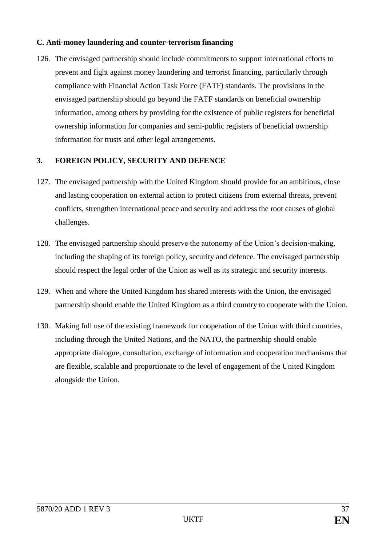## **C. Anti-money laundering and counter-terrorism financing**

126. The envisaged partnership should include commitments to support international efforts to prevent and fight against money laundering and terrorist financing, particularly through compliance with Financial Action Task Force (FATF) standards. The provisions in the envisaged partnership should go beyond the FATF standards on beneficial ownership information, among others by providing for the existence of public registers for beneficial ownership information for companies and semi-public registers of beneficial ownership information for trusts and other legal arrangements.

## **3. FOREIGN POLICY, SECURITY AND DEFENCE**

- 127. The envisaged partnership with the United Kingdom should provide for an ambitious, close and lasting cooperation on external action to protect citizens from external threats, prevent conflicts, strengthen international peace and security and address the root causes of global challenges.
- 128. The envisaged partnership should preserve the autonomy of the Union's decision-making, including the shaping of its foreign policy, security and defence. The envisaged partnership should respect the legal order of the Union as well as its strategic and security interests.
- 129. When and where the United Kingdom has shared interests with the Union, the envisaged partnership should enable the United Kingdom as a third country to cooperate with the Union.
- 130. Making full use of the existing framework for cooperation of the Union with third countries, including through the United Nations, and the NATO, the partnership should enable appropriate dialogue, consultation, exchange of information and cooperation mechanisms that are flexible, scalable and proportionate to the level of engagement of the United Kingdom alongside the Union.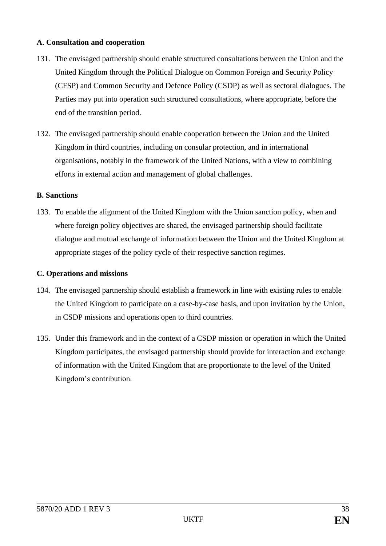### **A. Consultation and cooperation**

- 131. The envisaged partnership should enable structured consultations between the Union and the United Kingdom through the Political Dialogue on Common Foreign and Security Policy (CFSP) and Common Security and Defence Policy (CSDP) as well as sectoral dialogues. The Parties may put into operation such structured consultations, where appropriate, before the end of the transition period.
- 132. The envisaged partnership should enable cooperation between the Union and the United Kingdom in third countries, including on consular protection, and in international organisations, notably in the framework of the United Nations, with a view to combining efforts in external action and management of global challenges.

#### **B. Sanctions**

133. To enable the alignment of the United Kingdom with the Union sanction policy, when and where foreign policy objectives are shared, the envisaged partnership should facilitate dialogue and mutual exchange of information between the Union and the United Kingdom at appropriate stages of the policy cycle of their respective sanction regimes.

## **C. Operations and missions**

- 134. The envisaged partnership should establish a framework in line with existing rules to enable the United Kingdom to participate on a case-by-case basis, and upon invitation by the Union, in CSDP missions and operations open to third countries.
- 135. Under this framework and in the context of a CSDP mission or operation in which the United Kingdom participates, the envisaged partnership should provide for interaction and exchange of information with the United Kingdom that are proportionate to the level of the United Kingdom's contribution.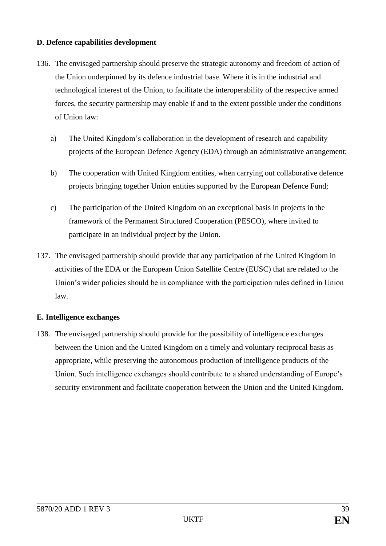### **D. Defence capabilities development**

- 136. The envisaged partnership should preserve the strategic autonomy and freedom of action of the Union underpinned by its defence industrial base. Where it is in the industrial and technological interest of the Union, to facilitate the interoperability of the respective armed forces, the security partnership may enable if and to the extent possible under the conditions of Union law:
	- a) The United Kingdom's collaboration in the development of research and capability projects of the European Defence Agency (EDA) through an administrative arrangement;
	- b) The cooperation with United Kingdom entities, when carrying out collaborative defence projects bringing together Union entities supported by the European Defence Fund;
	- c) The participation of the United Kingdom on an exceptional basis in projects in the framework of the Permanent Structured Cooperation (PESCO), where invited to participate in an individual project by the Union.
- 137. The envisaged partnership should provide that any participation of the United Kingdom in activities of the EDA or the European Union Satellite Centre (EUSC) that are related to the Union's wider policies should be in compliance with the participation rules defined in Union law.

## **E. Intelligence exchanges**

138. The envisaged partnership should provide for the possibility of intelligence exchanges between the Union and the United Kingdom on a timely and voluntary reciprocal basis as appropriate, while preserving the autonomous production of intelligence products of the Union. Such intelligence exchanges should contribute to a shared understanding of Europe's security environment and facilitate cooperation between the Union and the United Kingdom.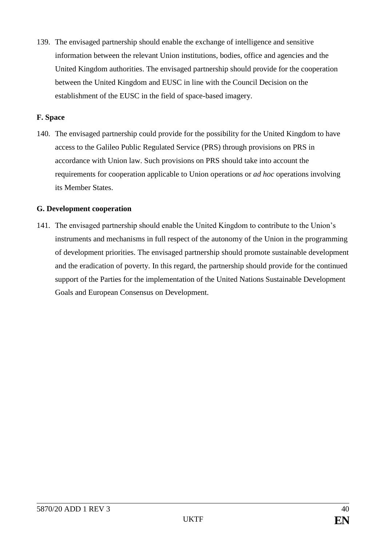139. The envisaged partnership should enable the exchange of intelligence and sensitive information between the relevant Union institutions, bodies, office and agencies and the United Kingdom authorities. The envisaged partnership should provide for the cooperation between the United Kingdom and EUSC in line with the Council Decision on the establishment of the EUSC in the field of space-based imagery.

#### **F. Space**

140. The envisaged partnership could provide for the possibility for the United Kingdom to have access to the Galileo Public Regulated Service (PRS) through provisions on PRS in accordance with Union law. Such provisions on PRS should take into account the requirements for cooperation applicable to Union operations or *ad hoc* operations involving its Member States.

#### **G. Development cooperation**

141. The envisaged partnership should enable the United Kingdom to contribute to the Union's instruments and mechanisms in full respect of the autonomy of the Union in the programming of development priorities. The envisaged partnership should promote sustainable development and the eradication of poverty. In this regard, the partnership should provide for the continued support of the Parties for the implementation of the United Nations Sustainable Development Goals and European Consensus on Development.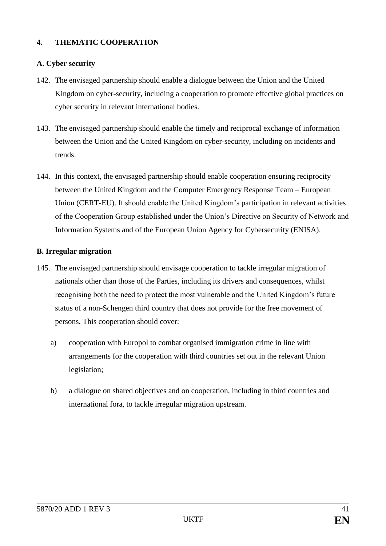# **4. THEMATIC COOPERATION**

## **A. Cyber security**

- 142. The envisaged partnership should enable a dialogue between the Union and the United Kingdom on cyber-security, including a cooperation to promote effective global practices on cyber security in relevant international bodies.
- 143. The envisaged partnership should enable the timely and reciprocal exchange of information between the Union and the United Kingdom on cyber-security, including on incidents and trends.
- 144. In this context, the envisaged partnership should enable cooperation ensuring reciprocity between the United Kingdom and the Computer Emergency Response Team – European Union (CERT-EU). It should enable the United Kingdom's participation in relevant activities of the Cooperation Group established under the Union's Directive on Security of Network and Information Systems and of the European Union Agency for Cybersecurity (ENISA).

#### **B. Irregular migration**

- 145. The envisaged partnership should envisage cooperation to tackle irregular migration of nationals other than those of the Parties, including its drivers and consequences, whilst recognising both the need to protect the most vulnerable and the United Kingdom's future status of a non-Schengen third country that does not provide for the free movement of persons. This cooperation should cover:
	- a) cooperation with Europol to combat organised immigration crime in line with arrangements for the cooperation with third countries set out in the relevant Union legislation;
	- b) a dialogue on shared objectives and on cooperation, including in third countries and international fora, to tackle irregular migration upstream.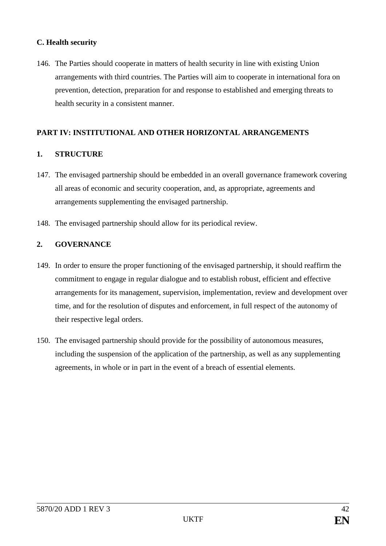## **C. Health security**

146. The Parties should cooperate in matters of health security in line with existing Union arrangements with third countries. The Parties will aim to cooperate in international fora on prevention, detection, preparation for and response to established and emerging threats to health security in a consistent manner.

## **PART IV: INSTITUTIONAL AND OTHER HORIZONTAL ARRANGEMENTS**

#### **1. STRUCTURE**

- 147. The envisaged partnership should be embedded in an overall governance framework covering all areas of economic and security cooperation, and, as appropriate, agreements and arrangements supplementing the envisaged partnership.
- 148. The envisaged partnership should allow for its periodical review.

#### **2. GOVERNANCE**

- 149. In order to ensure the proper functioning of the envisaged partnership, it should reaffirm the commitment to engage in regular dialogue and to establish robust, efficient and effective arrangements for its management, supervision, implementation, review and development over time, and for the resolution of disputes and enforcement, in full respect of the autonomy of their respective legal orders.
- 150. The envisaged partnership should provide for the possibility of autonomous measures, including the suspension of the application of the partnership, as well as any supplementing agreements, in whole or in part in the event of a breach of essential elements.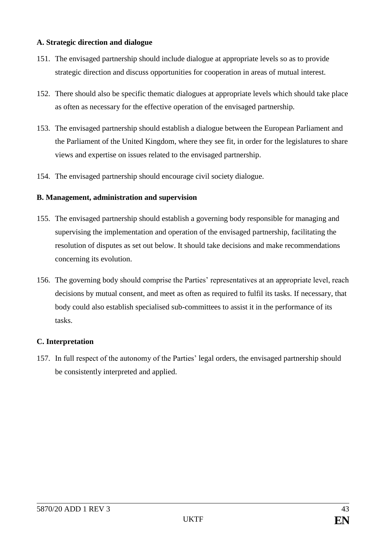## **A. Strategic direction and dialogue**

- 151. The envisaged partnership should include dialogue at appropriate levels so as to provide strategic direction and discuss opportunities for cooperation in areas of mutual interest.
- 152. There should also be specific thematic dialogues at appropriate levels which should take place as often as necessary for the effective operation of the envisaged partnership.
- 153. The envisaged partnership should establish a dialogue between the European Parliament and the Parliament of the United Kingdom, where they see fit, in order for the legislatures to share views and expertise on issues related to the envisaged partnership.
- 154. The envisaged partnership should encourage civil society dialogue.

## **B. Management, administration and supervision**

- 155. The envisaged partnership should establish a governing body responsible for managing and supervising the implementation and operation of the envisaged partnership, facilitating the resolution of disputes as set out below. It should take decisions and make recommendations concerning its evolution.
- 156. The governing body should comprise the Parties' representatives at an appropriate level, reach decisions by mutual consent, and meet as often as required to fulfil its tasks. If necessary, that body could also establish specialised sub-committees to assist it in the performance of its tasks.

#### **C. Interpretation**

157. In full respect of the autonomy of the Parties' legal orders, the envisaged partnership should be consistently interpreted and applied.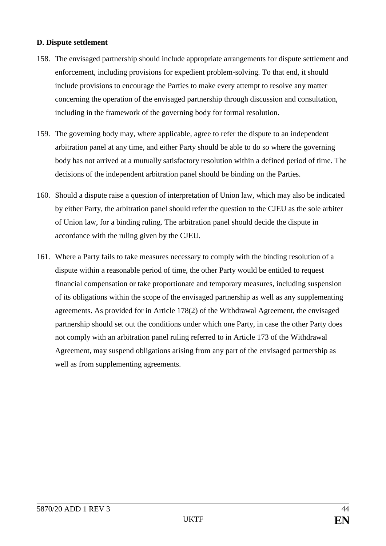#### **D. Dispute settlement**

- 158. The envisaged partnership should include appropriate arrangements for dispute settlement and enforcement, including provisions for expedient problem-solving. To that end, it should include provisions to encourage the Parties to make every attempt to resolve any matter concerning the operation of the envisaged partnership through discussion and consultation, including in the framework of the governing body for formal resolution.
- 159. The governing body may, where applicable, agree to refer the dispute to an independent arbitration panel at any time, and either Party should be able to do so where the governing body has not arrived at a mutually satisfactory resolution within a defined period of time. The decisions of the independent arbitration panel should be binding on the Parties.
- 160. Should a dispute raise a question of interpretation of Union law, which may also be indicated by either Party, the arbitration panel should refer the question to the CJEU as the sole arbiter of Union law, for a binding ruling. The arbitration panel should decide the dispute in accordance with the ruling given by the CJEU.
- 161. Where a Party fails to take measures necessary to comply with the binding resolution of a dispute within a reasonable period of time, the other Party would be entitled to request financial compensation or take proportionate and temporary measures, including suspension of its obligations within the scope of the envisaged partnership as well as any supplementing agreements. As provided for in Article 178(2) of the Withdrawal Agreement, the envisaged partnership should set out the conditions under which one Party, in case the other Party does not comply with an arbitration panel ruling referred to in Article 173 of the Withdrawal Agreement, may suspend obligations arising from any part of the envisaged partnership as well as from supplementing agreements.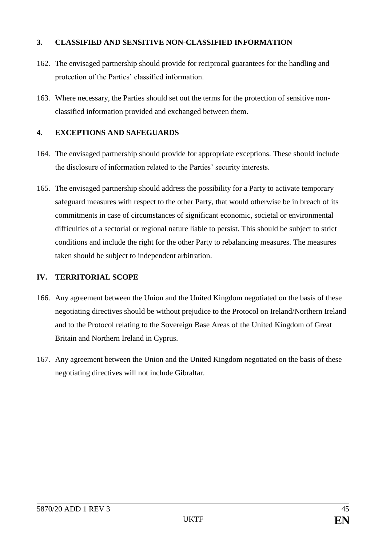## **3. CLASSIFIED AND SENSITIVE NON-CLASSIFIED INFORMATION**

- 162. The envisaged partnership should provide for reciprocal guarantees for the handling and protection of the Parties' classified information.
- 163. Where necessary, the Parties should set out the terms for the protection of sensitive nonclassified information provided and exchanged between them.

# **4. EXCEPTIONS AND SAFEGUARDS**

- 164. The envisaged partnership should provide for appropriate exceptions. These should include the disclosure of information related to the Parties' security interests.
- 165. The envisaged partnership should address the possibility for a Party to activate temporary safeguard measures with respect to the other Party, that would otherwise be in breach of its commitments in case of circumstances of significant economic, societal or environmental difficulties of a sectorial or regional nature liable to persist. This should be subject to strict conditions and include the right for the other Party to rebalancing measures. The measures taken should be subject to independent arbitration.

# **IV. TERRITORIAL SCOPE**

- 166. Any agreement between the Union and the United Kingdom negotiated on the basis of these negotiating directives should be without prejudice to the Protocol on Ireland/Northern Ireland and to the Protocol relating to the Sovereign Base Areas of the United Kingdom of Great Britain and Northern Ireland in Cyprus.
- 167. Any agreement between the Union and the United Kingdom negotiated on the basis of these negotiating directives will not include Gibraltar.